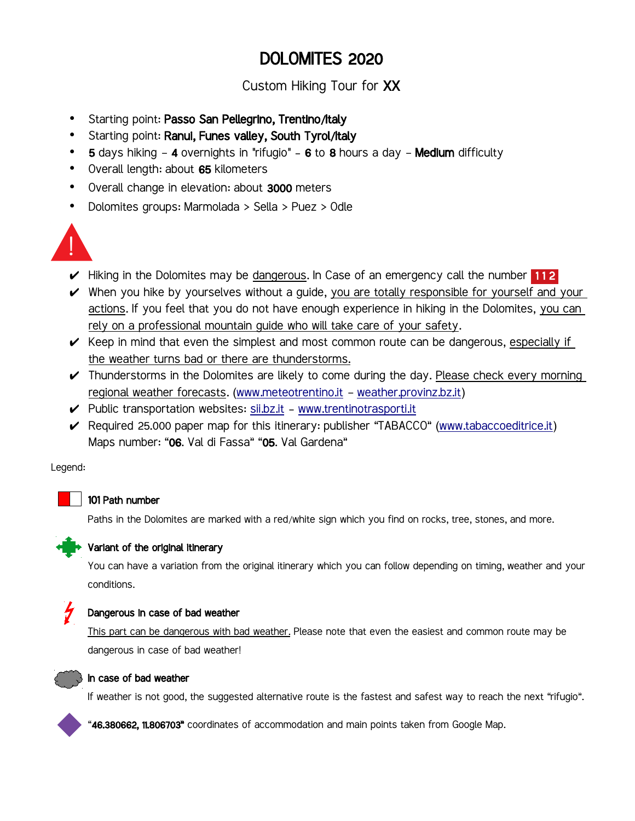# DOLOMITES 2020

Custom Hiking Tour for XX

- Starting point: Passo San Pellegrino, Trentino/Italy
- Starting point: Ranui, Funes valley, South Tyrol/Italy
- 5 days hiking 4 overnights in "rifugio" 6 to 8 hours a day Medium difficulty
- Overall length: about 65 kilometers
- Overall change in elevation: about 3000 meters
- Dolomites groups: Marmolada > Sella > Puez > Odle



- $\vee$  Hiking in the Dolomites may be dangerous. In Case of an emergency call the number 112
- $\vee$  When you hike by yourselves without a quide, you are totally responsible for yourself and your actions. If you feel that you do not have enough experience in hiking in the Dolomites, you can rely on a professional mountain guide who will take care of your safety.
- $\checkmark$  Keep in mind that even the simplest and most common route can be dangerous, especially if the weather turns bad or there are thunderstorms.
- $\checkmark$  Thunderstorms in the Dolomites are likely to come during the day. Please check every morning regional weather forecasts. [\(www.meteotrentino.it](http://www.meteotrentino.it/) - [weather.provinz.bz.it\)](http://weather.provinz.bz.it/)
- $\checkmark$  Public transportation websites: [sii.bz.it](https://sii.bz.it/) - [www.trentinotrasporti.it](http://www.trentinotrasporti.it/)
- ► Required 25.000 paper map for this itinerary: publisher "TABACCO" [\(www.tabaccoeditrice.it\)](https://www.tabaccoeditrice.it/) Maps number: "06. Val di Fassa" "05. Val Gardena"

Legend:



#### 101 Path number

Paths in the Dolomites are marked with a red/white sign which you find on rocks, tree, stones, and more.



#### Variant of the original itinerary

You can have a variation from the original itinerary which you can follow depending on timing, weather and your conditions.



#### Dangerous in case of bad weather

 This part can be dangerous with bad weather. Please note that even the easiest and common route may be dangerous in case of bad weather!



#### In case of bad weather

If weather is not good, the suggested alternative route is the fastest and safest way to reach the next "rifugio".

"46.380662, 11.806703" coordinates of accommodation and main points taken from Google Map.